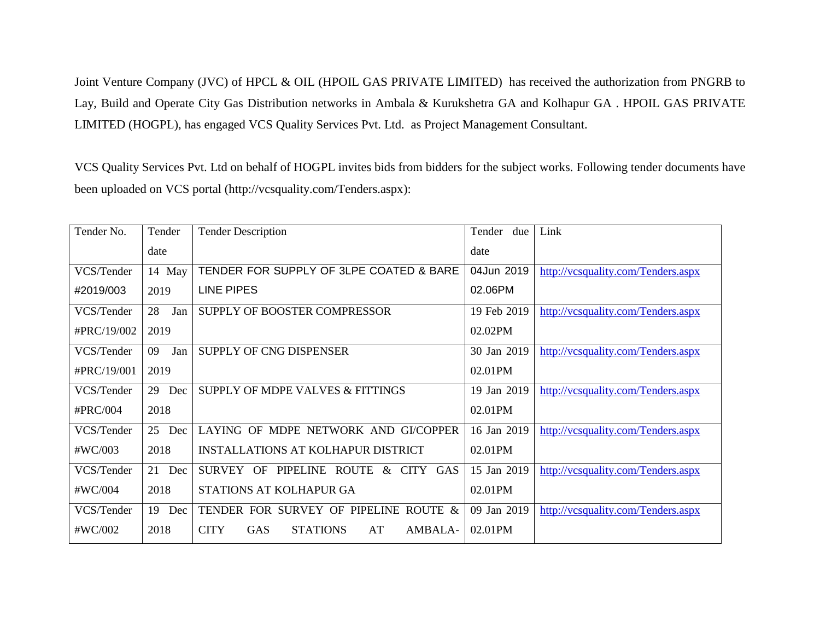Joint Venture Company (JVC) of HPCL & OIL (HPOIL GAS PRIVATE LIMITED) has received the authorization from PNGRB to Lay, Build and Operate City Gas Distribution networks in Ambala & Kurukshetra GA and Kolhapur GA . HPOIL GAS PRIVATE LIMITED (HOGPL), has engaged VCS Quality Services Pvt. Ltd. as Project Management Consultant.

VCS Quality Services Pvt. Ltd on behalf of HOGPL invites bids from bidders for the subject works. Following tender documents have been uploaded on VCS portal [\(http://vcsquality.com/Tenders.aspx\)](http://vcsquality.com/Tenders.aspx):

| Tender No.  | Tender    | <b>Tender Description</b>                                     | Tender<br>due | Link                               |
|-------------|-----------|---------------------------------------------------------------|---------------|------------------------------------|
|             | date      |                                                               | date          |                                    |
| VCS/Tender  | 14 May    | TENDER FOR SUPPLY OF 3LPE COATED & BARE                       | 04Jun 2019    | http://vcsquality.com/Tenders.aspx |
| #2019/003   | 2019      | <b>LINE PIPES</b>                                             | 02.06PM       |                                    |
| VCS/Tender  | 28<br>Jan | SUPPLY OF BOOSTER COMPRESSOR                                  | 19 Feb 2019   | http://vcsquality.com/Tenders.aspx |
| #PRC/19/002 | 2019      |                                                               | 02.02PM       |                                    |
| VCS/Tender  | 09<br>Jan | SUPPLY OF CNG DISPENSER                                       | 30 Jan 2019   | http://vcsquality.com/Tenders.aspx |
| #PRC/19/001 | 2019      |                                                               | 02.01PM       |                                    |
| VCS/Tender  | 29<br>Dec | SUPPLY OF MDPE VALVES & FITTINGS                              | 19 Jan 2019   | http://vcsquality.com/Tenders.aspx |
| #PRC/004    | 2018      |                                                               | 02.01PM       |                                    |
| VCS/Tender  | 25<br>Dec | LAYING OF MDPE NETWORK AND GI/COPPER                          | 16 Jan 2019   | http://vcsquality.com/Tenders.aspx |
| #WC/003     | 2018      | <b>INSTALLATIONS AT KOLHAPUR DISTRICT</b>                     | 02.01PM       |                                    |
| VCS/Tender  | 21<br>Dec | PIPELINE<br>& CITY GAS<br>SURVEY OF<br><b>ROUTE</b>           | 15 Jan 2019   | http://vcsquality.com/Tenders.aspx |
| #WC/004     | 2018      | STATIONS AT KOLHAPUR GA                                       | 02.01PM       |                                    |
| VCS/Tender  | 19<br>Dec | TENDER FOR SURVEY OF PIPELINE ROUTE &                         | 09 Jan 2019   | http://vcsquality.com/Tenders.aspx |
| #WC/002     | 2018      | <b>STATIONS</b><br><b>CITY</b><br><b>GAS</b><br>AT<br>AMBALA- | 02.01PM       |                                    |